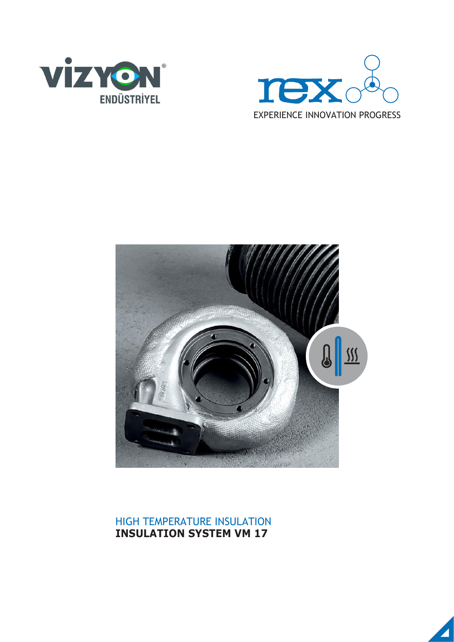





## HIGH TEMPERATURE INSULATION **INSULATION SYSTEM VM 17**

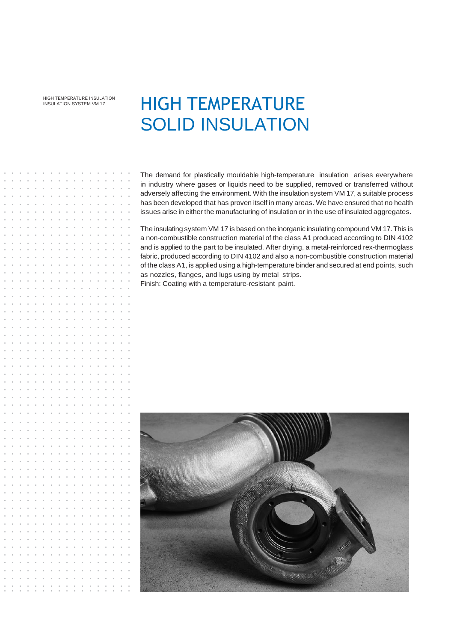HIGH TEMPERATURE INSULATION<br>INSULATION SYSTEM VM 17

# **HIGH TEMPERATURE** SOLID INSULATION

The demand for plastically mouldable high-temperature insulation arises everywhere in industry where gases or liquids need to be supplied, removed or transferred without adversely affecting the environment. With the insulation system VM 17, a suitable process has been developed that has proven itself in many areas. We have ensured that no health issues arise in either the manufacturing of insulation or in the use of insulated aggregates.

The insulating system VM 17 is based on the inorganic insulating compound VM 17.This is a non-combustible construction material of the class A1 produced according to DIN 4102 and is applied to the part to be insulated. After drying, a metal-reinforced rex-thermoglass fabric, produced according to DIN 4102 and also a non-combustible construction material of the class A1, is applied using a high-temperature binder and secured at end points, such as nozzles, flanges, and lugs using by metal strips. Finish: Coating with a temperature-resistant paint.

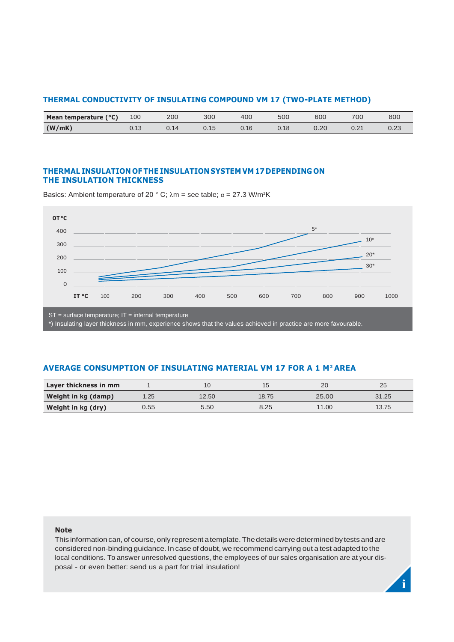#### **THERMAL CONDUCTIVITY OF INSULATING COMPOUND VM 17 (TWO-PLATE METHOD)**

| Mean temperature $(°C)$ | 100  | 200  | 300  | 400  | 500  | 600  | $700^{\circ}$ | 800  |
|-------------------------|------|------|------|------|------|------|---------------|------|
| (W/mK)                  | 0.13 | 0.14 | 0.15 | 0.16 | 0.18 | 0.20 | 0.21          | 0.23 |

#### **THERMAL INSULATION OFTHE INSULATION SYSTEM VM17 DEPENDING ON THE INSULATION THICKNESS**

Basics: Ambient temperature of 20 °C;  $\lambda$ m = see table;  $\alpha$  = 27.3 W/m<sup>2</sup>K



\*) Insulating layer thickness in mm, experience shows that the values achieved in practice are more favourable.

#### **AVERAGE CONSUMPTION OF INSULATING MATERIAL VM 17 FOR A 1 M2 AREA**

| Layer thickness in mm |      | $10^{\circ}$ |       | 20    | 25    |
|-----------------------|------|--------------|-------|-------|-------|
| Weight in kg (damp)   | .25  | 12.50        | 18.75 | 25.00 | 31.25 |
| Weight in kg (dry)    | 0.55 | 5.50         | 8.25  | 11.00 | 13.75 |

#### **Note**

This information can, of course, only represent a template. The details were determined by tests and are considered non-binding guidance. In case of doubt, we recommend carrying out a test adapted to the local conditions. To answer unresolved questions, the employees of our sales organisation are at your disposal - or even better: send us a part for trial insulation!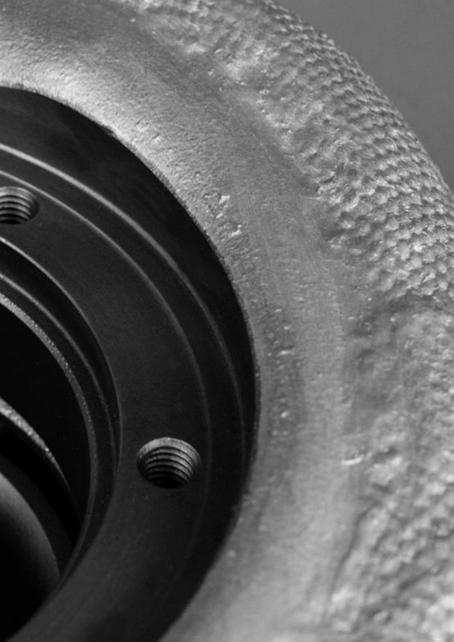